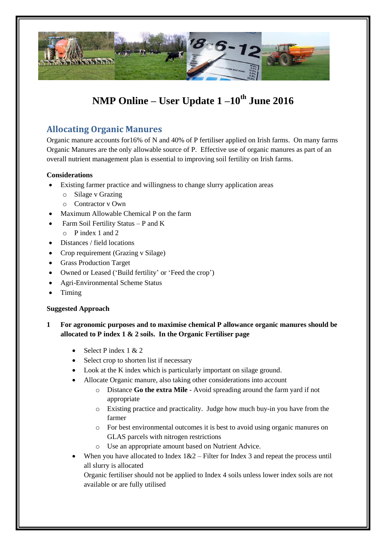

# **NMP Online – User Update 1 –10th June 2016**

# **Allocating Organic Manures**

Organic manure accounts for16% of N and 40% of P fertiliser applied on Irish farms. On many farms Organic Manures are the only allowable source of P. Effective use of organic manures as part of an overall nutrient management plan is essential to improving soil fertility on Irish farms.

## **Considerations**

- Existing farmer practice and willingness to change slurry application areas
	- o Silage v Grazing
	- o Contractor v Own
- Maximum Allowable Chemical P on the farm
- Farm Soil Fertility Status P and K
	- o P index 1 and 2
- Distances / field locations
- Crop requirement (Grazing v Silage)
- Grass Production Target
- Owned or Leased ('Build fertility' or 'Feed the crop')
- Agri-Environmental Scheme Status
- Timing

#### **Suggested Approach**

- **1 For agronomic purposes and to maximise chemical P allowance organic manures should be allocated to P index 1 & 2 soils. In the Organic Fertiliser page**
	- Select P index 1 & 2
	- Select crop to shorten list if necessary
	- Look at the K index which is particularly important on silage ground.
	- Allocate Organic manure, also taking other considerations into account
		- o Distance **Go the extra Mile** Avoid spreading around the farm yard if not appropriate
		- o Existing practice and practicality. Judge how much buy-in you have from the farmer
		- o For best environmental outcomes it is best to avoid using organic manures on GLAS parcels with nitrogen restrictions
		- o Use an appropriate amount based on Nutrient Advice.
	- When you have allocated to Index  $1&2$  Filter for Index 3 and repeat the process until all slurry is allocated

Organic fertiliser should not be applied to Index 4 soils unless lower index soils are not available or are fully utilised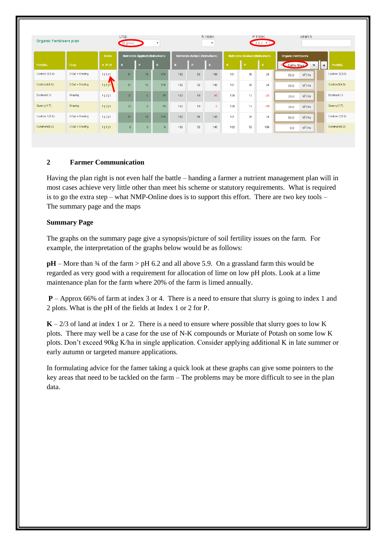| <b>Organic Fertilisers plan</b> | Crop:<br>All grass<br>$\boldsymbol{\mathrm{v}}$ |                 |                                       | N Index:<br>$\boldsymbol{\mathrm{v}}$ |          |                               |          | P Index:<br>$182 \times$ |                                | Search: |       |                            |                  |
|---------------------------------|-------------------------------------------------|-----------------|---------------------------------------|---------------------------------------|----------|-------------------------------|----------|--------------------------|--------------------------------|---------|-------|----------------------------|------------------|
|                                 |                                                 | Index           | <b>Nutrients Applied (Units/Acre)</b> |                                       |          | Nutrients Advice (Units/Acre) |          |                          | Nutrients Balance (Units/Acre) |         |       | <b>Organic Fertilisers</b> |                  |
| Plot(Ha)                        | <b>Crop</b>                                     | $N$   $P$   $K$ | $\mathbf{R}$                          | <b>P</b>                              | lк       | l N                           | <b>P</b> | Lк                       | $\mathbf{N}$                   | l P     | Lк    | Cattle Sluri<br>$\times$   | Plot(Ha)<br>$+1$ |
| Coolroe 2(3.8)                  | 2 Cut + Grazing                                 | 1 1 1           | 81                                    | 16                                    | 174      | 182                           | 52       | 198                      | 101                            | 36      | 24    | $M^3/Ha$<br>50.0           | Coolroe 2(3.8)   |
| Coolroe3(4.0)                   | 2 Cut + Grazing                                 | 1 1 1           | 81                                    | 16                                    | 174      | 182                           | 52       | 198                      | 101                            | 36      | 24    | $M^3/Ha$<br>50.0           | Coolroe3(4.0)    |
| Doyles(4.1)                     | Grazing                                         | 1 2 2           | 32 <sub>2</sub>                       | 6 <sup>1</sup>                        | 70       | 163                           | 19       | 45                       | 130                            | 13      | $-25$ | $M^3/Ha$<br>20.0           | Doyles(4.1)      |
| Quarry (4.7)                    | Grazing                                         | 1 2 4           | 32 <sup>1</sup>                       | 6 <sup>1</sup>                        | 70       | 163                           | 19       | $\overline{0}$           | 130                            | 13      | $-70$ | $M^3/Ha$<br>20.0           | Quarry (4.7)     |
| Coolroe 1(5.1)                  | 2 Cut + Grazing                                 | 1 2 1           | 81                                    | 16                                    | 174      | 182                           | 44       | 198                      | 101                            | 28      | 24    | $M^3/Ha$<br>50.0           | Coolroe 1(5.1)   |
| Dundrum(8.2)                    | 2 Cut + Grazing                                 | 1 1 1           | $\theta$                              | $\theta$                              | $\theta$ | 182                           | 52       | 198                      | 182                            | 52      | 198   | $M^3/Ha$<br>0.0            | Dundrum(8.2)     |

## **2 Farmer Communication**

Having the plan right is not even half the battle – handing a farmer a nutrient management plan will in most cases achieve very little other than meet his scheme or statutory requirements. What is required is to go the extra step – what NMP-Online does is to support this effort. There are two key tools – The summary page and the maps

#### **Summary Page**

The graphs on the summary page give a synopsis/picture of soil fertility issues on the farm. For example, the interpretation of the graphs below would be as follows:

**pH** – More than <sup>3</sup>/4 of the farm > pH 6.2 and all above 5.9. On a grassland farm this would be regarded as very good with a requirement for allocation of lime on low pH plots. Look at a lime maintenance plan for the farm where 20% of the farm is limed annually.

**P** – Approx 66% of farm at index 3 or 4. There is a need to ensure that slurry is going to index 1 and 2 plots. What is the pH of the fields at Index 1 or 2 for P.

 $K - 2/3$  of land at index 1 or 2. There is a need to ensure where possible that slurry goes to low K plots. There may well be a case for the use of N-K compounds or Muriate of Potash on some low K plots. Don't exceed 90kg K/ha in single application. Consider applying additional K in late summer or early autumn or targeted manure applications.

In formulating advice for the famer taking a quick look at these graphs can give some pointers to the key areas that need to be tackled on the farm – The problems may be more difficult to see in the plan data.